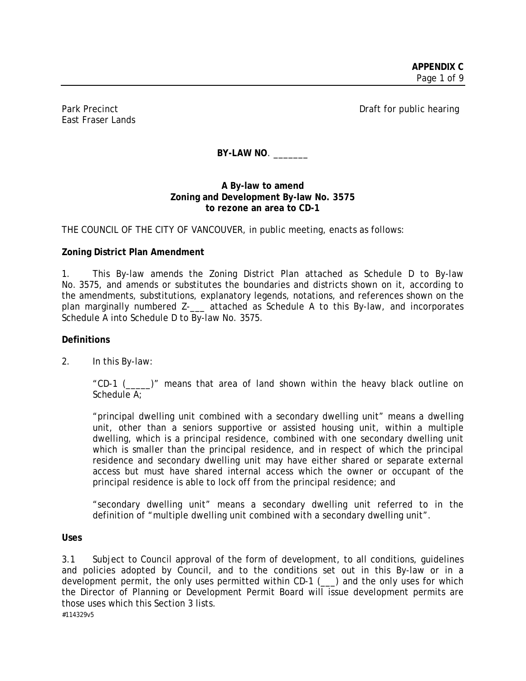East Fraser Lands

Park Precinct **Draft for public hearing** 

BY-LAW NO.

### **A By-law to amend Zoning and Development By-law No. 3575 to rezone an area to CD-1**

THE COUNCIL OF THE CITY OF VANCOUVER, in public meeting, enacts as follows:

## **Zoning District Plan Amendment**

1. This By-law amends the Zoning District Plan attached as Schedule D to By-law No. 3575, and amends or substitutes the boundaries and districts shown on it, according to the amendments, substitutions, explanatory legends, notations, and references shown on the plan marginally numbered Z-\_\_\_ attached as Schedule A to this By-law, and incorporates Schedule A into Schedule D to By-law No. 3575.

### **Definitions**

2. In this By-law:

"CD-1 (\_\_\_\_\_)" means that area of land shown within the heavy black outline on Schedule A:

"principal dwelling unit combined with a secondary dwelling unit" means a dwelling unit, other than a seniors supportive or assisted housing unit, within a multiple dwelling, which is a principal residence, combined with one secondary dwelling unit which is smaller than the principal residence, and in respect of which the principal residence and secondary dwelling unit may have either shared or separate external access but must have shared internal access which the owner or occupant of the principal residence is able to lock off from the principal residence; and

"secondary dwelling unit" means a secondary dwelling unit referred to in the definition of "multiple dwelling unit combined with a secondary dwelling unit".

**Uses** 

#114329v5 3.1 Subject to Council approval of the form of development, to all conditions, guidelines and policies adopted by Council, and to the conditions set out in this By-law or in a development permit, the only uses permitted within CD-1 (\_\_\_) and the only uses for which the Director of Planning or Development Permit Board will issue development permits are those uses which this Section 3 lists.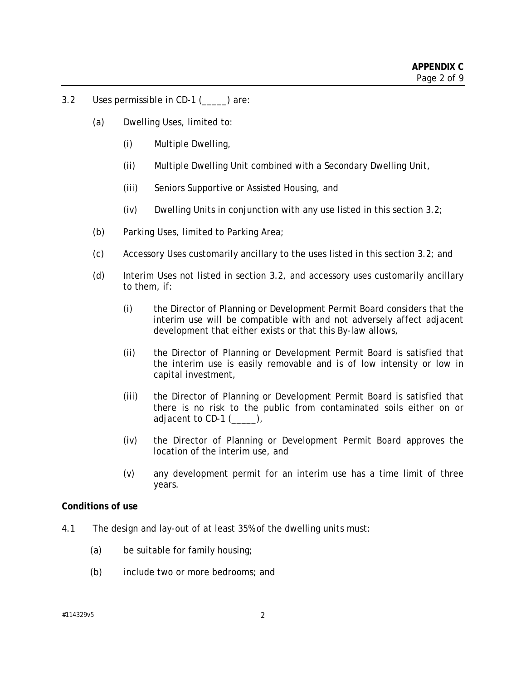- 3.2 Uses permissible in CD-1 () are:
	- (a) Dwelling Uses, limited to:
		- (i) Multiple Dwelling,
		- (ii) Multiple Dwelling Unit combined with a Secondary Dwelling Unit,
		- (iii) Seniors Supportive or Assisted Housing, and
		- (iv) Dwelling Units in conjunction with any use listed in this section  $3.2$ ;
	- (b) Parking Uses, limited to Parking Area;
	- (c) Accessory Uses customarily ancillary to the uses listed in this section 3.2; and
	- (d) Interim Uses not listed in section 3.2, and accessory uses customarily ancillary to them, if:
		- (i) the Director of Planning or Development Permit Board considers that the interim use will be compatible with and not adversely affect adjacent development that either exists or that this By-law allows,
		- (ii) the Director of Planning or Development Permit Board is satisfied that the interim use is easily removable and is of low intensity or low in capital investment,
		- (iii) the Director of Planning or Development Permit Board is satisfied that there is no risk to the public from contaminated soils either on or adjacent to  $CD-1$   $(\_\_\_\_),$
		- (iv) the Director of Planning or Development Permit Board approves the location of the interim use, and
		- (v) any development permit for an interim use has a time limit of three years.

### **Conditions of use**

- 4.1 The design and lay-out of at least 35% of the dwelling units must:
	- (a) be suitable for family housing;
	- (b) include two or more bedrooms; and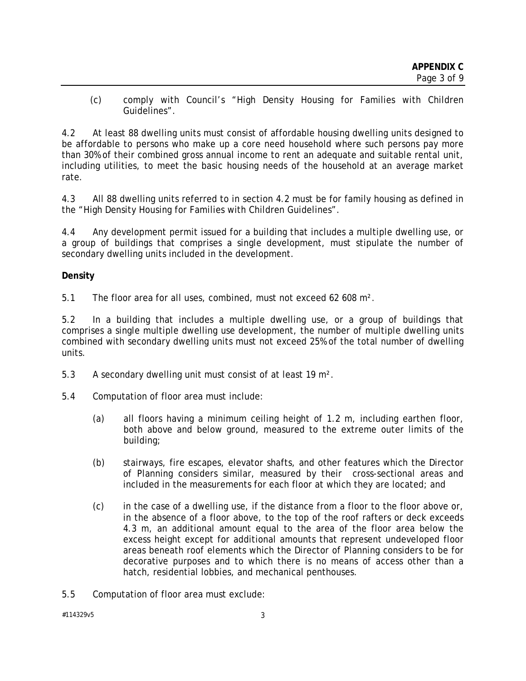(c) comply with Council's "High Density Housing for Families with Children Guidelines".

4.2 At least 88 dwelling units must consist of affordable housing dwelling units designed to be affordable to persons who make up a core need household where such persons pay more than 30% of their combined gross annual income to rent an adequate and suitable rental unit, including utilities, to meet the basic housing needs of the household at an average market rate.

4.3 All 88 dwelling units referred to in section 4.2 must be for family housing as defined in the "High Density Housing for Families with Children Guidelines".

4.4 Any development permit issued for a building that includes a multiple dwelling use, or a group of buildings that comprises a single development, must stipulate the number of secondary dwelling units included in the development.

### **Density**

5.1 The floor area for all uses, combined, must not exceed 62 608 m².

5.2 In a building that includes a multiple dwelling use, or a group of buildings that comprises a single multiple dwelling use development, the number of multiple dwelling units combined with secondary dwelling units must not exceed 25% of the total number of dwelling units.

- 5.3 A secondary dwelling unit must consist of at least 19 m².
- 5.4 Computation of floor area must include:
	- (a) all floors having a minimum ceiling height of 1.2 m, including earthen floor, both above and below ground, measured to the extreme outer limits of the building;
	- (b) stairways, fire escapes, elevator shafts, and other features which the Director of Planning considers similar, measured by their cross-sectional areas and included in the measurements for each floor at which they are located; and
	- (c) in the case of a dwelling use, if the distance from a floor to the floor above or, in the absence of a floor above, to the top of the roof rafters or deck exceeds 4.3 m, an additional amount equal to the area of the floor area below the excess height except for additional amounts that represent undeveloped floor areas beneath roof elements which the Director of Planning considers to be for decorative purposes and to which there is no means of access other than a hatch, residential lobbies, and mechanical penthouses.
- 5.5 Computation of floor area must exclude: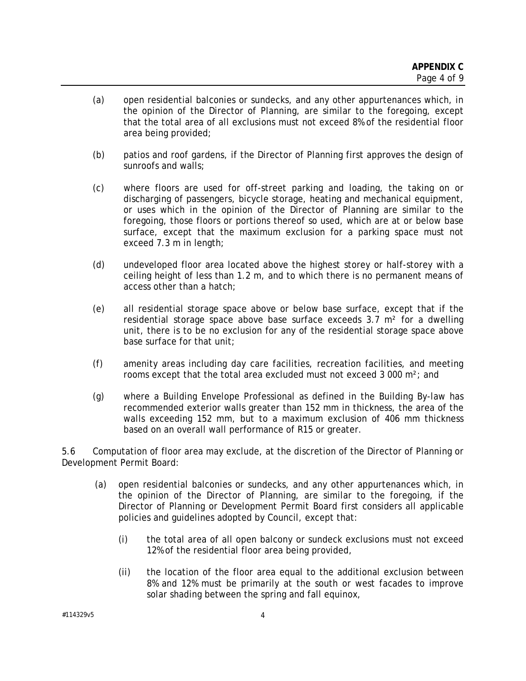- (a) open residential balconies or sundecks, and any other appurtenances which, in the opinion of the Director of Planning, are similar to the foregoing, except that the total area of all exclusions must not exceed 8% of the residential floor area being provided;
- (b) patios and roof gardens, if the Director of Planning first approves the design of sunroofs and walls;
- (c) where floors are used for off-street parking and loading, the taking on or discharging of passengers, bicycle storage, heating and mechanical equipment, or uses which in the opinion of the Director of Planning are similar to the foregoing, those floors or portions thereof so used, which are at or below base surface, except that the maximum exclusion for a parking space must not exceed 7.3 m in length;
- (d) undeveloped floor area located above the highest storey or half-storey with a ceiling height of less than 1.2 m, and to which there is no permanent means of access other than a hatch;
- (e) all residential storage space above or below base surface, except that if the residential storage space above base surface exceeds  $3.7 \text{ m}^2$  for a dwelling unit, there is to be no exclusion for any of the residential storage space above base surface for that unit;
- (f) amenity areas including day care facilities, recreation facilities, and meeting rooms except that the total area excluded must not exceed 3 000 m²; and
- (g) where a Building Envelope Professional as defined in the Building By-law has recommended exterior walls greater than 152 mm in thickness, the area of the walls exceeding 152 mm, but to a maximum exclusion of 406 mm thickness based on an overall wall performance of R15 or greater.

5.6 Computation of floor area may exclude, at the discretion of the Director of Planning or Development Permit Board:

- (a) open residential balconies or sundecks, and any other appurtenances which, in the opinion of the Director of Planning, are similar to the foregoing, if the Director of Planning or Development Permit Board first considers all applicable policies and guidelines adopted by Council, except that:
	- (i) the total area of all open balcony or sundeck exclusions must not exceed 12% of the residential floor area being provided,
	- (ii) the location of the floor area equal to the additional exclusion between 8% and 12% must be primarily at the south or west facades to improve solar shading between the spring and fall equinox,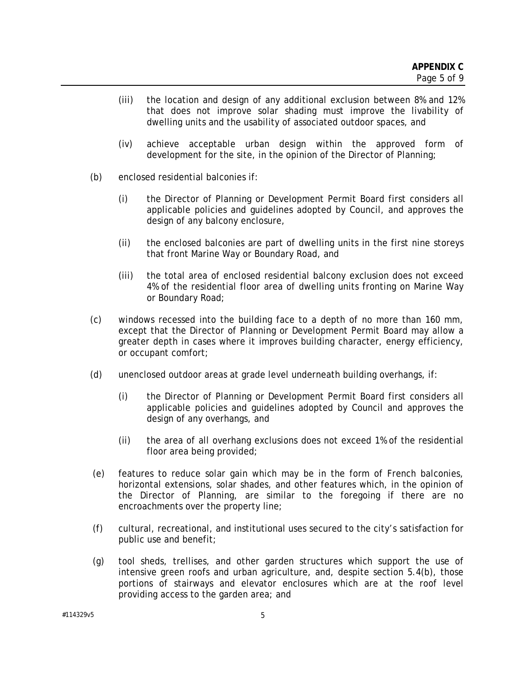- (iii) the location and design of any additional exclusion between 8% and 12% that does not improve solar shading must improve the livability of dwelling units and the usability of associated outdoor spaces, and
- (iv) achieve acceptable urban design within the approved form of development for the site, in the opinion of the Director of Planning;
- (b) enclosed residential balconies if:
	- (i) the Director of Planning or Development Permit Board first considers all applicable policies and guidelines adopted by Council, and approves the design of any balcony enclosure,
	- (ii) the enclosed balconies are part of dwelling units in the first nine storeys that front Marine Way or Boundary Road, and
	- (iii) the total area of enclosed residential balcony exclusion does not exceed 4% of the residential floor area of dwelling units fronting on Marine Way or Boundary Road;
- (c) windows recessed into the building face to a depth of no more than 160 mm, except that the Director of Planning or Development Permit Board may allow a greater depth in cases where it improves building character, energy efficiency, or occupant comfort;
- (d) unenclosed outdoor areas at grade level underneath building overhangs, if:
	- (i) the Director of Planning or Development Permit Board first considers all applicable policies and guidelines adopted by Council and approves the design of any overhangs, and
	- (ii) the area of all overhang exclusions does not exceed 1% of the residential floor area being provided;
- (e) features to reduce solar gain which may be in the form of French balconies, horizontal extensions, solar shades, and other features which, in the opinion of the Director of Planning, are similar to the foregoing if there are no encroachments over the property line;
- (f) cultural, recreational, and institutional uses secured to the city's satisfaction for public use and benefit;
- (g) tool sheds, trellises, and other garden structures which support the use of intensive green roofs and urban agriculture, and, despite section 5.4(b), those portions of stairways and elevator enclosures which are at the roof level providing access to the garden area; and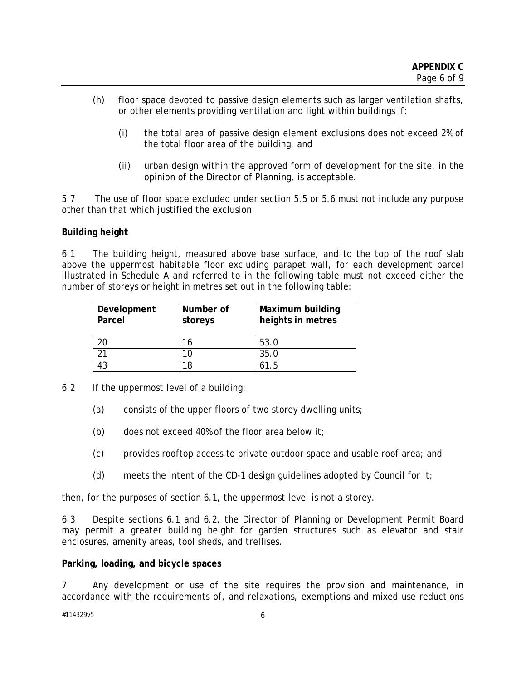- (h) floor space devoted to passive design elements such as larger ventilation shafts, or other elements providing ventilation and light within buildings if:
	- (i) the total area of passive design element exclusions does not exceed 2% of the total floor area of the building, and
	- (ii) urban design within the approved form of development for the site, in the opinion of the Director of Planning, is acceptable.

5.7 The use of floor space excluded under section 5.5 or 5.6 must not include any purpose other than that which justified the exclusion.

### **Building height**

6.1 The building height, measured above base surface, and to the top of the roof slab above the uppermost habitable floor excluding parapet wall, for each development parcel illustrated in Schedule A and referred to in the following table must not exceed either the number of storeys or height in metres set out in the following table:

| Development<br>Parcel | Number of<br>storeys | <b>Maximum building</b><br>heights in metres |
|-----------------------|----------------------|----------------------------------------------|
| 20                    | 16                   | 53.0                                         |
| 21                    | 10                   | 35.0                                         |
| 43                    | 18                   | 61.5                                         |

- 6.2 If the uppermost level of a building:
	- (a) consists of the upper floors of two storey dwelling units;
	- (b) does not exceed 40% of the floor area below it;
	- (c) provides rooftop access to private outdoor space and usable roof area; and
	- (d) meets the intent of the CD-1 design guidelines adopted by Council for it;

then, for the purposes of section 6.1, the uppermost level is not a storey.

6.3 Despite sections 6.1 and 6.2, the Director of Planning or Development Permit Board may permit a greater building height for garden structures such as elevator and stair enclosures, amenity areas, tool sheds, and trellises.

### **Parking, loading, and bicycle spaces**

7. Any development or use of the site requires the provision and maintenance, in accordance with the requirements of, and relaxations, exemptions and mixed use reductions

#### #114329v5 6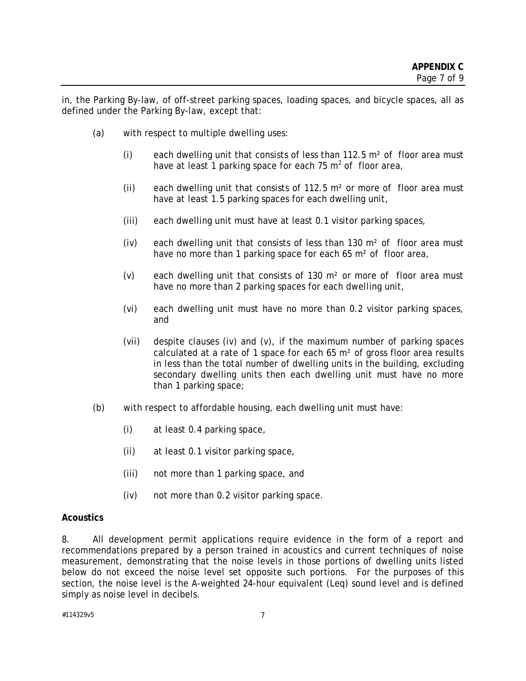in, the Parking By-law, of off-street parking spaces, loading spaces, and bicycle spaces, all as defined under the Parking By-law, except that:

- (a) with respect to multiple dwelling uses:
	- (i) each dwelling unit that consists of less than 112.5 m² of floor area must have at least 1 parking space for each 75  $m^2$  of floor area,
	- (ii) each dwelling unit that consists of 112.5  $m<sup>2</sup>$  or more of floor area must have at least 1.5 parking spaces for each dwelling unit,
	- (iii) each dwelling unit must have at least 0.1 visitor parking spaces,
	- (iv) each dwelling unit that consists of less than 130  $m<sup>2</sup>$  of floor area must have no more than 1 parking space for each 65 m<sup>2</sup> of floor area,
	- (v) each dwelling unit that consists of 130 m² or more of floor area must have no more than 2 parking spaces for each dwelling unit,
	- (vi) each dwelling unit must have no more than 0.2 visitor parking spaces, and
	- (vii) despite clauses (iv) and (v), if the maximum number of parking spaces calculated at a rate of 1 space for each 65 m² of gross floor area results in less than the total number of dwelling units in the building, excluding secondary dwelling units then each dwelling unit must have no more than 1 parking space;
- (b) with respect to affordable housing, each dwelling unit must have:
	- (i) at least 0.4 parking space,
	- (ii) at least 0.1 visitor parking space,
	- (iii) not more than 1 parking space, and
	- (iv) not more than 0.2 visitor parking space.

### **Acoustics**

8. All development permit applications require evidence in the form of a report and recommendations prepared by a person trained in acoustics and current techniques of noise measurement, demonstrating that the noise levels in those portions of dwelling units listed below do not exceed the noise level set opposite such portions. For the purposes of this section, the noise level is the A-weighted 24-hour equivalent (Leq) sound level and is defined simply as noise level in decibels.

#114329v5 7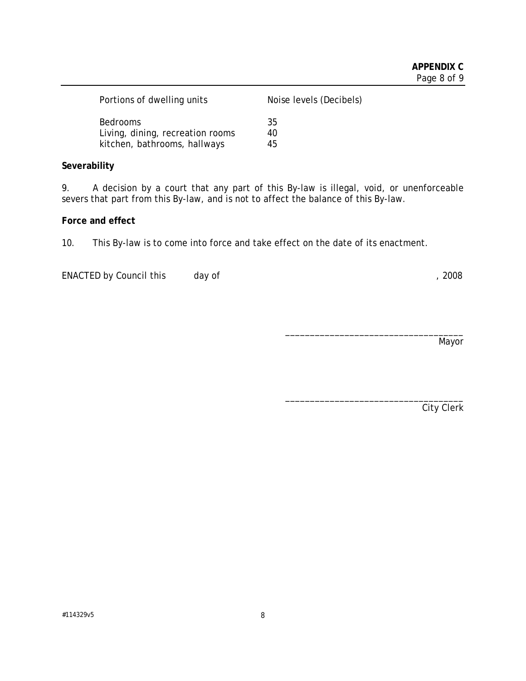| Portions of dwelling units       | Noise levels (Decibels) |
|----------------------------------|-------------------------|
| <b>Bedrooms</b>                  | 35                      |
| Living, dining, recreation rooms | 40                      |
| kitchen, bathrooms, hallways     | 45                      |

## **Severability**

9. A decision by a court that any part of this By-law is illegal, void, or unenforceable severs that part from this By-law, and is not to affect the balance of this By-law.

### **Force and effect**

10. This By-law is to come into force and take effect on the date of its enactment.

ENACTED by Council this day of  $\frac{1}{2008}$ 

Mayor

\_\_\_\_\_\_\_\_\_\_\_\_\_\_\_\_\_\_\_\_\_\_\_\_\_\_\_\_\_\_\_\_\_\_\_\_

\_\_\_\_\_\_\_\_\_\_\_\_\_\_\_\_\_\_\_\_\_\_\_\_\_\_\_\_\_\_\_\_\_\_\_\_

City Clerk